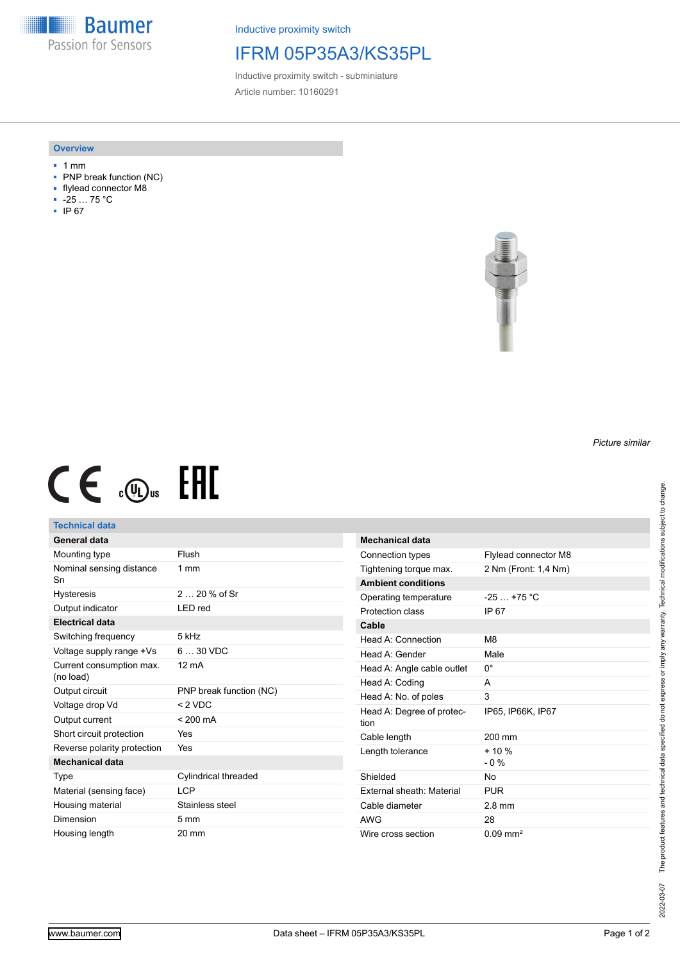**Baumer** Passion for Sensors

Inductive proximity switch

## IFRM 05P35A3/KS35PL

Inductive proximity switch - subminiature Article number: 10160291

#### **Overview**

- 1 mm
- PNP break function (NC)
- flylead connector M8
- -25 … 75 °C
- IP 67



# $CE \mathcal{L}$  (Dus FRE

### **Technical data**

| General data                          |                             |
|---------------------------------------|-----------------------------|
| Mounting type                         | Flush                       |
| Nominal sensing distance<br>Sn        | $1 \text{ mm}$              |
| Hysteresis                            | 2 $20%$ of Sr               |
| Output indicator                      | LED red                     |
| Electrical data                       |                             |
| Switching frequency                   | 5 kHz                       |
| Voltage supply range +Vs              | $630$ VDC                   |
| Current consumption max.<br>(no load) | $12 \text{ mA}$             |
| Output circuit                        | PNP break function (NC)     |
| Voltage drop Vd                       | $< 2$ VDC                   |
| Output current                        | $< 200 \text{ mA}$          |
| Short circuit protection              | Yes                         |
| Reverse polarity protection           | Yes                         |
| Mechanical data                       |                             |
| Type                                  | <b>Cylindrical threaded</b> |
| Material (sensing face)               | LCP                         |
| Housing material                      | Stainless steel             |
| Dimension                             | $5 \text{ mm}$              |
| Housing length                        | 20 mm                       |

| Mechanical data                   |                      |
|-----------------------------------|----------------------|
| Connection types                  | Flylead connector M8 |
| Tightening torque max.            | 2 Nm (Front: 1,4 Nm) |
| <b>Ambient conditions</b>         |                      |
| Operating temperature             | $-25+75$ °C          |
| Protection class                  | IP 67                |
| Cable                             |                      |
| Head A: Connection                | M <sub>8</sub>       |
| Head A: Gender                    | Male                 |
| Head A: Angle cable outlet        | 0°                   |
| Head A: Coding                    | А                    |
| Head A: No. of poles              | 3                    |
| Head A: Degree of protec-<br>tion | IP65, IP66K, IP67    |
| Cable length                      | 200 mm               |
| Length tolerance                  | $+10%$<br>$-0\%$     |
| Shielded                          | No                   |
| External sheath: Material         | <b>PUR</b>           |
| Cable diameter                    | $2.8 \text{ mm}$     |
| AWG                               | 28                   |
| Wire cross section                | $0.09 \text{ mm}^2$  |

*Picture similar*